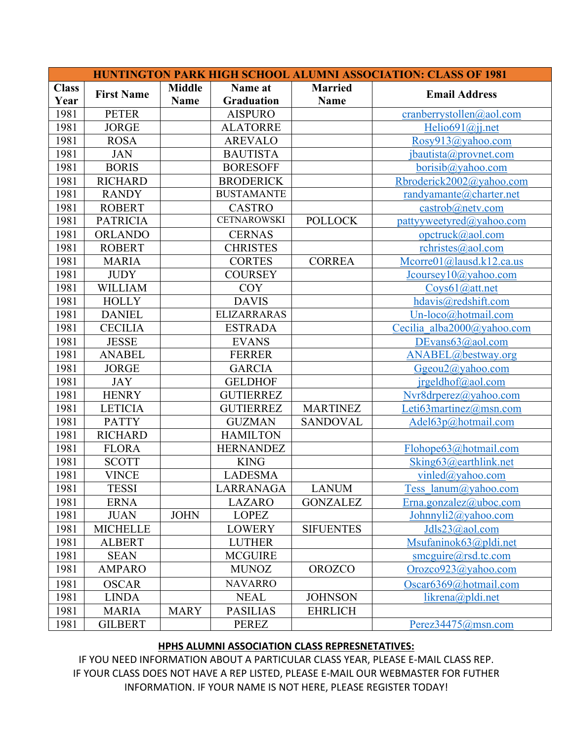| <b>HUNTINGTON PARK HIGH SCHOOL ALUMNI ASSOCIATION: CLASS OF 1981</b> |                   |                          |                    |                  |                            |  |  |  |  |
|----------------------------------------------------------------------|-------------------|--------------------------|--------------------|------------------|----------------------------|--|--|--|--|
| <b>Class</b>                                                         | <b>First Name</b> | <b>Middle</b><br>Name at |                    | <b>Married</b>   |                            |  |  |  |  |
| Year                                                                 |                   | <b>Name</b>              | <b>Graduation</b>  | <b>Name</b>      | <b>Email Address</b>       |  |  |  |  |
| 1981                                                                 | <b>PETER</b>      |                          | <b>AISPURO</b>     |                  | cranberrystollen@aol.com   |  |  |  |  |
| 1981                                                                 | <b>JORGE</b>      |                          | <b>ALATORRE</b>    |                  | Helio691@jj.net            |  |  |  |  |
| 1981                                                                 | <b>ROSA</b>       |                          | <b>AREVALO</b>     |                  | Rosy913@yahoo.com          |  |  |  |  |
| 1981                                                                 | <b>JAN</b>        |                          | <b>BAUTISTA</b>    |                  | jbautista@provnet.com      |  |  |  |  |
| 1981                                                                 | <b>BORIS</b>      |                          | <b>BORESOFF</b>    |                  | borisib@yahoo.com          |  |  |  |  |
| 1981                                                                 | <b>RICHARD</b>    |                          | <b>BRODERICK</b>   |                  | Rbroderick2002@yahoo.com   |  |  |  |  |
| 1981                                                                 | <b>RANDY</b>      |                          | <b>BUSTAMANTE</b>  |                  | randyamante@charter.net    |  |  |  |  |
| 1981                                                                 | <b>ROBERT</b>     |                          | <b>CASTRO</b>      |                  | castrob@netv.com           |  |  |  |  |
| 1981                                                                 | <b>PATRICIA</b>   |                          | <b>CETNAROWSKI</b> | <b>POLLOCK</b>   | pattyyweetyred@yahoo.com   |  |  |  |  |
| 1981                                                                 | <b>ORLANDO</b>    |                          | <b>CERNAS</b>      |                  | opctruck@aol.com           |  |  |  |  |
| 1981                                                                 | <b>ROBERT</b>     |                          | <b>CHRISTES</b>    |                  | rchristes@aol.com          |  |  |  |  |
| 1981                                                                 | <b>MARIA</b>      |                          | <b>CORTES</b>      | <b>CORREA</b>    | Mcorre01@lausd.k12.ca.us   |  |  |  |  |
| 1981                                                                 | <b>JUDY</b>       |                          | <b>COURSEY</b>     |                  | Jcoursey10@yahoo.com       |  |  |  |  |
| 1981                                                                 | <b>WILLIAM</b>    |                          | <b>COY</b>         |                  | Coys61@att.net             |  |  |  |  |
| 1981                                                                 | <b>HOLLY</b>      |                          | <b>DAVIS</b>       |                  | hdavis@redshift.com        |  |  |  |  |
| 1981                                                                 | <b>DANIEL</b>     |                          | <b>ELIZARRARAS</b> |                  | Un-loco@hotmail.com        |  |  |  |  |
| 1981                                                                 | <b>CECILIA</b>    |                          | <b>ESTRADA</b>     |                  | Cecilia alba2000@yahoo.com |  |  |  |  |
| 1981                                                                 | <b>JESSE</b>      |                          | <b>EVANS</b>       |                  | DEvans $63$ @aol.com       |  |  |  |  |
| 1981                                                                 | <b>ANABEL</b>     |                          | <b>FERRER</b>      |                  | ANABEL@bestway.org         |  |  |  |  |
| 1981                                                                 | <b>JORGE</b>      |                          | <b>GARCIA</b>      |                  | $G$ geou $2$ @yahoo.com    |  |  |  |  |
| 1981                                                                 | <b>JAY</b>        |                          | <b>GELDHOF</b>     |                  | $j$ rgeldhof@aol.com       |  |  |  |  |
| 1981                                                                 | <b>HENRY</b>      |                          | <b>GUTIERREZ</b>   |                  | Nvr8drperez@yahoo.com      |  |  |  |  |
| 1981                                                                 | <b>LETICIA</b>    |                          | <b>GUTIERREZ</b>   | <b>MARTINEZ</b>  | Leti63martinez@msn.com     |  |  |  |  |
| 1981                                                                 | <b>PATTY</b>      |                          | <b>GUZMAN</b>      | <b>SANDOVAL</b>  | Adel63p@hotmail.com        |  |  |  |  |
| 1981                                                                 | <b>RICHARD</b>    |                          | <b>HAMILTON</b>    |                  |                            |  |  |  |  |
| 1981                                                                 | <b>FLORA</b>      |                          | <b>HERNANDEZ</b>   |                  | Flohope63@hotmail.com      |  |  |  |  |
| 1981                                                                 | <b>SCOTT</b>      |                          | <b>KING</b>        |                  | Sking63@earthlink.net      |  |  |  |  |
| 1981                                                                 | <b>VINCE</b>      |                          | <b>LADESMA</b>     |                  | vinled@yahoo.com           |  |  |  |  |
| 1981                                                                 | <b>TESSI</b>      |                          | LARRANAGA          | <b>LANUM</b>     | <u>ess lanum@yahoo.com</u> |  |  |  |  |
| 1981                                                                 | <b>ERNA</b>       |                          | <b>LAZARO</b>      | <b>GONZALEZ</b>  | Erna.gonzalez@uboc.com     |  |  |  |  |
| 1981                                                                 | <b>JUAN</b>       | <b>JOHN</b>              | <b>LOPEZ</b>       |                  | Johnnyli2@yahoo.com        |  |  |  |  |
| 1981                                                                 | <b>MICHELLE</b>   |                          | <b>LOWERY</b>      | <b>SIFUENTES</b> | Jdls23@aol.com             |  |  |  |  |
| 1981                                                                 | <b>ALBERT</b>     |                          | <b>LUTHER</b>      |                  | Msufaninok63@pldi.net      |  |  |  |  |
| 1981                                                                 | <b>SEAN</b>       |                          | <b>MCGUIRE</b>     |                  | smeguire@rsd.tc.com        |  |  |  |  |
| 1981                                                                 | <b>AMPARO</b>     |                          | <b>MUNOZ</b>       | <b>OROZCO</b>    | Orozco923@yahoo.com        |  |  |  |  |
| 1981                                                                 | <b>OSCAR</b>      |                          | <b>NAVARRO</b>     |                  | Oscar6369@hotmail.com      |  |  |  |  |
| 1981                                                                 | <b>LINDA</b>      |                          | <b>NEAL</b>        | <b>JOHNSON</b>   | likrena@pldi.net           |  |  |  |  |
| 1981                                                                 | <b>MARIA</b>      | <b>MARY</b>              | <b>PASILIAS</b>    | <b>EHRLICH</b>   |                            |  |  |  |  |
| 1981                                                                 | <b>GILBERT</b>    |                          | <b>PEREZ</b>       |                  | Perez34475@msn.com         |  |  |  |  |

## **HPHS ALUMNI ASSOCIATION CLASS REPRESNETATIVES:**

IF YOU NEED INFORMATION ABOUT A PARTICULAR CLASS YEAR, PLEASE E-MAIL CLASS REP. IF YOUR CLASS DOES NOT HAVE A REP LISTED, PLEASE E-MAIL OUR WEBMASTER FOR FUTHER INFORMATION. IF YOUR NAME IS NOT HERE, PLEASE REGISTER TODAY!